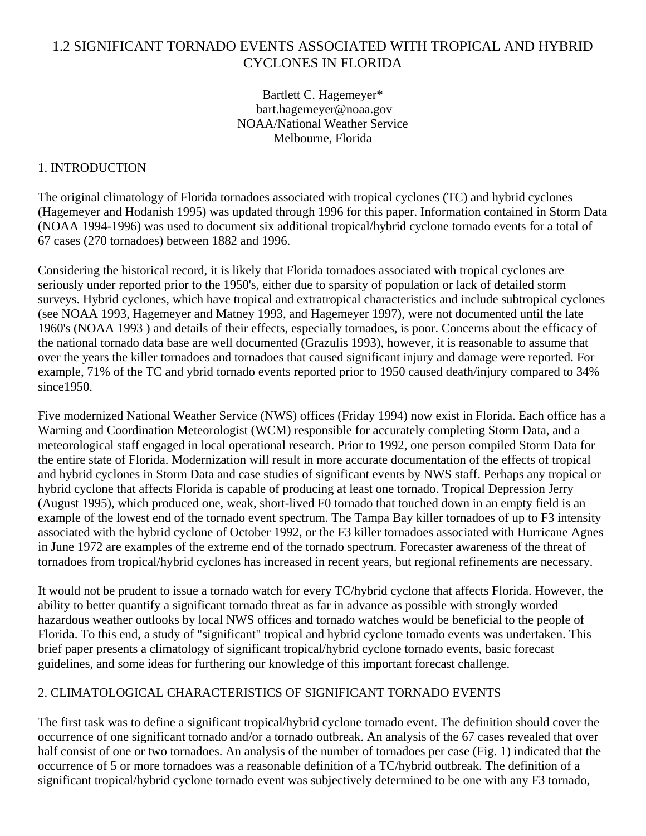# 1.2 SIGNIFICANT TORNADO EVENTS ASSOCIATED WITH TROPICAL AND HYBRID CYCLONES IN FLORIDA

Bartlett C. Hagemeyer\* bart.hagemeyer@noaa.gov NOAA/National Weather Service Melbourne, Florida

# 1. INTRODUCTION

The original climatology of Florida tornadoes associated with tropical cyclones (TC) and hybrid cyclones (Hagemeyer and Hodanish 1995) was updated through 1996 for this paper. Information contained in Storm Data (NOAA 1994-1996) was used to document six additional tropical/hybrid cyclone tornado events for a total of 67 cases (270 tornadoes) between 1882 and 1996.

Considering the historical record, it is likely that Florida tornadoes associated with tropical cyclones are seriously under reported prior to the 1950's, either due to sparsity of population or lack of detailed storm surveys. Hybrid cyclones, which have tropical and extratropical characteristics and include subtropical cyclones (see NOAA 1993, Hagemeyer and Matney 1993, and Hagemeyer 1997), were not documented until the late 1960's (NOAA 1993 ) and details of their effects, especially tornadoes, is poor. Concerns about the efficacy of the national tornado data base are well documented (Grazulis 1993), however, it is reasonable to assume that over the years the killer tornadoes and tornadoes that caused significant injury and damage were reported. For example, 71% of the TC and ybrid tornado events reported prior to 1950 caused death/injury compared to 34% since1950.

Five modernized National Weather Service (NWS) offices (Friday 1994) now exist in Florida. Each office has a Warning and Coordination Meteorologist (WCM) responsible for accurately completing Storm Data, and a meteorological staff engaged in local operational research. Prior to 1992, one person compiled Storm Data for the entire state of Florida. Modernization will result in more accurate documentation of the effects of tropical and hybrid cyclones in Storm Data and case studies of significant events by NWS staff. Perhaps any tropical or hybrid cyclone that affects Florida is capable of producing at least one tornado. Tropical Depression Jerry (August 1995), which produced one, weak, short-lived F0 tornado that touched down in an empty field is an example of the lowest end of the tornado event spectrum. The Tampa Bay killer tornadoes of up to F3 intensity associated with the hybrid cyclone of October 1992, or the F3 killer tornadoes associated with Hurricane Agnes in June 1972 are examples of the extreme end of the tornado spectrum. Forecaster awareness of the threat of tornadoes from tropical/hybrid cyclones has increased in recent years, but regional refinements are necessary.

It would not be prudent to issue a tornado watch for every TC/hybrid cyclone that affects Florida. However, the ability to better quantify a significant tornado threat as far in advance as possible with strongly worded hazardous weather outlooks by local NWS offices and tornado watches would be beneficial to the people of Florida. To this end, a study of "significant" tropical and hybrid cyclone tornado events was undertaken. This brief paper presents a climatology of significant tropical/hybrid cyclone tornado events, basic forecast guidelines, and some ideas for furthering our knowledge of this important forecast challenge.

### 2. CLIMATOLOGICAL CHARACTERISTICS OF SIGNIFICANT TORNADO EVENTS

The first task was to define a significant tropical/hybrid cyclone tornado event. The definition should cover the occurrence of one significant tornado and/or a tornado outbreak. An analysis of the 67 cases revealed that over half consist of one or two tornadoes. An analysis of the number of tornadoes per case (Fig. 1) indicated that the occurrence of 5 or more tornadoes was a reasonable definition of a TC/hybrid outbreak. The definition of a significant tropical/hybrid cyclone tornado event was subjectively determined to be one with any F3 tornado,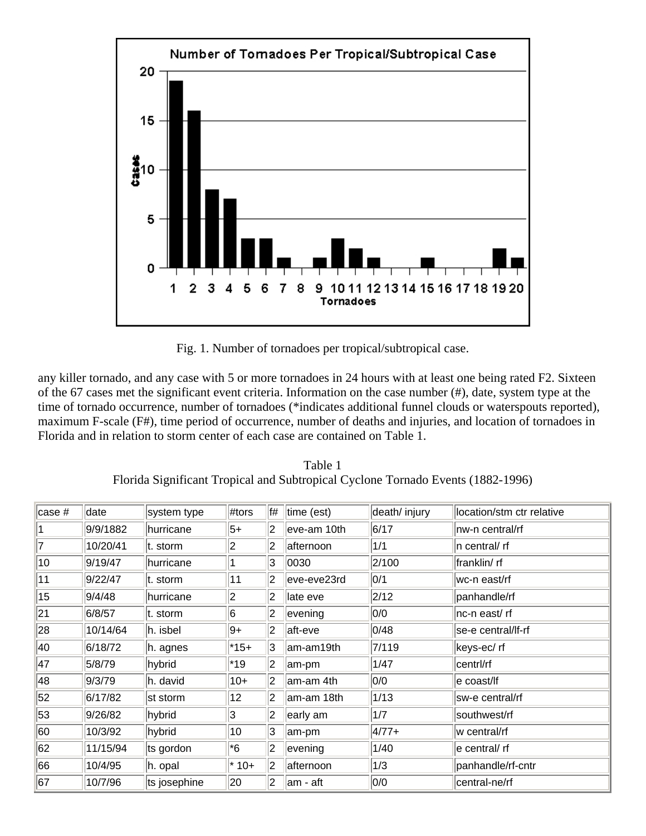

Fig. 1. Number of tornadoes per tropical/subtropical case.

any killer tornado, and any case with 5 or more tornadoes in 24 hours with at least one being rated F2. Sixteen of the 67 cases met the significant event criteria. Information on the case number (#), date, system type at the time of tornado occurrence, number of tornadoes (\*indicates additional funnel clouds or waterspouts reported), maximum F-scale (F#), time period of occurrence, number of deaths and injuries, and location of tornadoes in Florida and in relation to storm center of each case are contained on Table 1.

| Table 1                                                                         |  |
|---------------------------------------------------------------------------------|--|
| Florida Significant Tropical and Subtropical Cyclone Tornado Events (1882-1996) |  |

| case # | date     | system type  | #tors  | f# | time (est)  | death/ injury | location/stm ctr relative |
|--------|----------|--------------|--------|----|-------------|---------------|---------------------------|
|        | 9/9/1882 | hurricane    | 5+     | 12 | eve-am 10th | 6/17          | nw-n central/rf           |
| 7      | 10/20/41 | t. storm     | 2      | 2  | afternoon   | 1/1           | n central/ rf             |
| 10     | 9/19/47  | hurricane    |        | 3  | 0030        | 2/100         | franklin/ rf              |
| 11     | 9/22/47  | t. storm     | 11     | 2  | eve-eve23rd | 0/1           | wc-n east/rf              |
| 15     | 9/4/48   | lhurricane   | 2      | 2  | late eve    | 2/12          | panhandle/rf              |
| 21     | 6/8/57   | t. storm     | 6      | 2  | evening     | 0/0           | nc-n east/ rf             |
| 28     | 10/14/64 | h. isbel     | 9+     | 2  | aft-eve     | 0/48          | se-e central/lf-rf        |
| 40     | 6/18/72  | h. agnes     | $*15+$ | 3  | am-am19th   | 7/119         | keys-ec/ rf               |
| 47     | 5/8/79   | hybrid       | $*19$  | 2  | am-pm       | 1/47          | centrl/rf                 |
| 48     | 9/3/79   | h. david     | $10+$  | 2  | am-am 4th   | 0/0           | e coast/lf                |
| 52     | 6/17/82  | st storm     | 12     | 2  | am-am 18th  | 1/13          | sw-e central/rf           |
| 53     | 9/26/82  | hybrid       | 3      | 2  | early am    | 1/7           | southwest/rf              |
| 60     | 10/3/92  | hybrid       | 10     | 3  | am-pm       | $4/77+$       | w central/rf              |
| 62     | 11/15/94 | ts gordon    | $^*6$  | 2  | evening     | 1/40          | e central/ rf             |
| 66     | 10/4/95  | h. opal      | $*10+$ | 2  | afternoon   | 1/3           | panhandle/rf-cntr         |
| 67     | 10/7/96  | ts josephine | 20     | 2  | am - aft    | 0/0           | central-ne/rf             |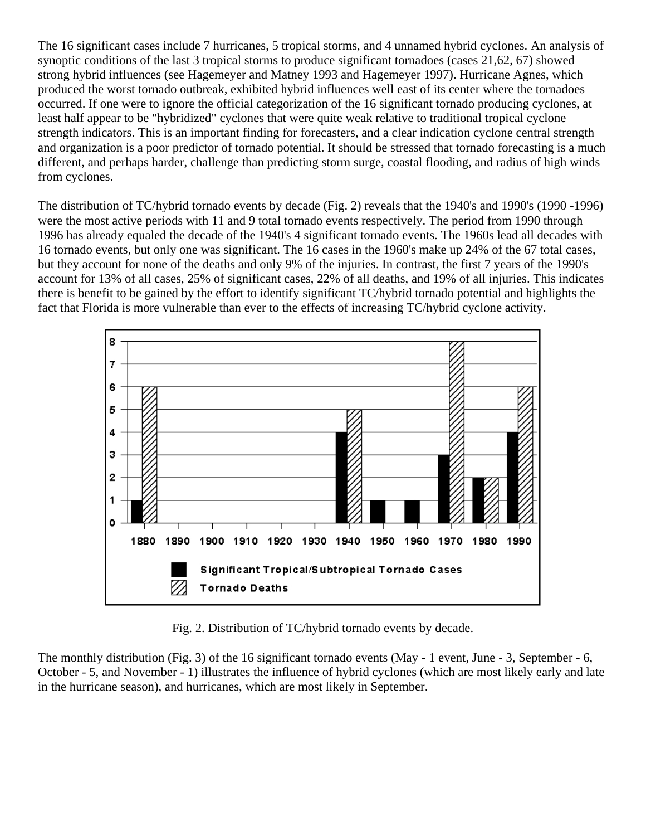The 16 significant cases include 7 hurricanes, 5 tropical storms, and 4 unnamed hybrid cyclones. An analysis of synoptic conditions of the last 3 tropical storms to produce significant tornadoes (cases 21,62, 67) showed strong hybrid influences (see Hagemeyer and Matney 1993 and Hagemeyer 1997). Hurricane Agnes, which produced the worst tornado outbreak, exhibited hybrid influences well east of its center where the tornadoes occurred. If one were to ignore the official categorization of the 16 significant tornado producing cyclones, at least half appear to be "hybridized" cyclones that were quite weak relative to traditional tropical cyclone strength indicators. This is an important finding for forecasters, and a clear indication cyclone central strength and organization is a poor predictor of tornado potential. It should be stressed that tornado forecasting is a much different, and perhaps harder, challenge than predicting storm surge, coastal flooding, and radius of high winds from cyclones.

The distribution of TC/hybrid tornado events by decade (Fig. 2) reveals that the 1940's and 1990's (1990 -1996) were the most active periods with 11 and 9 total tornado events respectively. The period from 1990 through 1996 has already equaled the decade of the 1940's 4 significant tornado events. The 1960s lead all decades with 16 tornado events, but only one was significant. The 16 cases in the 1960's make up 24% of the 67 total cases, but they account for none of the deaths and only 9% of the injuries. In contrast, the first 7 years of the 1990's account for 13% of all cases, 25% of significant cases, 22% of all deaths, and 19% of all injuries. This indicates there is benefit to be gained by the effort to identify significant TC/hybrid tornado potential and highlights the fact that Florida is more vulnerable than ever to the effects of increasing TC/hybrid cyclone activity.



Fig. 2. Distribution of TC/hybrid tornado events by decade.

The monthly distribution (Fig. 3) of the 16 significant tornado events (May - 1 event, June - 3, September - 6, October - 5, and November - 1) illustrates the influence of hybrid cyclones (which are most likely early and late in the hurricane season), and hurricanes, which are most likely in September.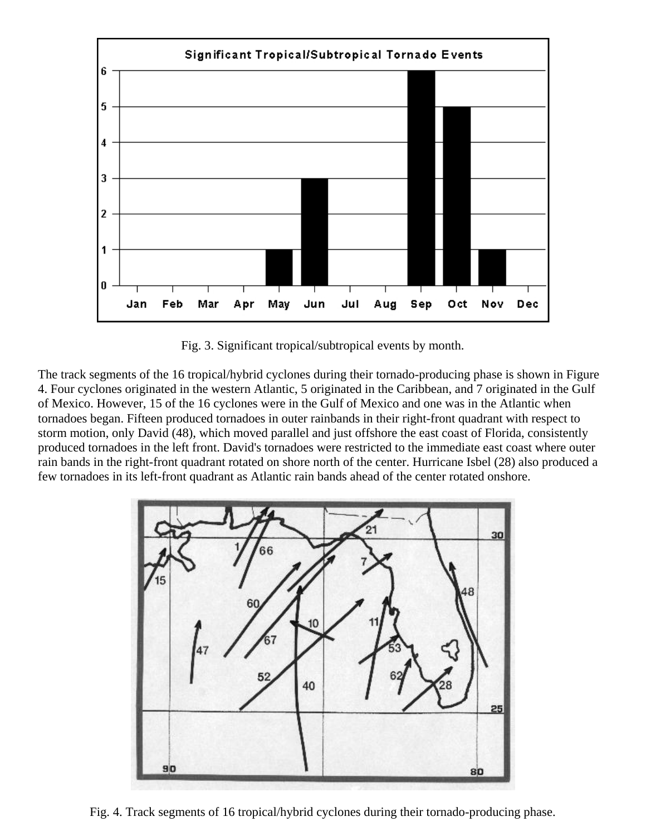

Fig. 3. Significant tropical/subtropical events by month.

The track segments of the 16 tropical/hybrid cyclones during their tornado-producing phase is shown in Figure 4. Four cyclones originated in the western Atlantic, 5 originated in the Caribbean, and 7 originated in the Gulf of Mexico. However, 15 of the 16 cyclones were in the Gulf of Mexico and one was in the Atlantic when tornadoes began. Fifteen produced tornadoes in outer rainbands in their right-front quadrant with respect to storm motion, only David (48), which moved parallel and just offshore the east coast of Florida, consistently produced tornadoes in the left front. David's tornadoes were restricted to the immediate east coast where outer rain bands in the right-front quadrant rotated on shore north of the center. Hurricane Isbel (28) also produced a few tornadoes in its left-front quadrant as Atlantic rain bands ahead of the center rotated onshore.



Fig. 4. Track segments of 16 tropical/hybrid cyclones during their tornado-producing phase.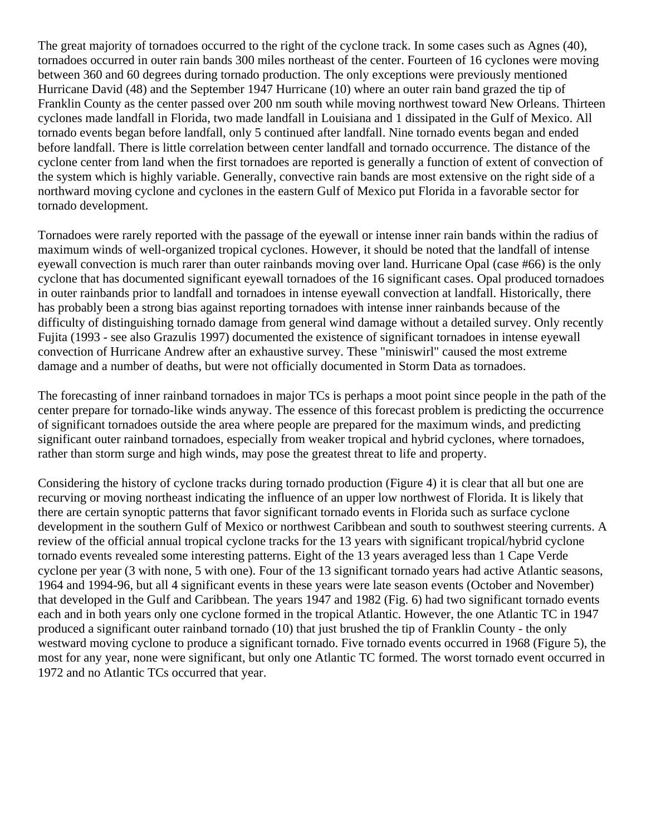The great majority of tornadoes occurred to the right of the cyclone track. In some cases such as Agnes (40), tornadoes occurred in outer rain bands 300 miles northeast of the center. Fourteen of 16 cyclones were moving between 360 and 60 degrees during tornado production. The only exceptions were previously mentioned Hurricane David (48) and the September 1947 Hurricane (10) where an outer rain band grazed the tip of Franklin County as the center passed over 200 nm south while moving northwest toward New Orleans. Thirteen cyclones made landfall in Florida, two made landfall in Louisiana and 1 dissipated in the Gulf of Mexico. All tornado events began before landfall, only 5 continued after landfall. Nine tornado events began and ended before landfall. There is little correlation between center landfall and tornado occurrence. The distance of the cyclone center from land when the first tornadoes are reported is generally a function of extent of convection of the system which is highly variable. Generally, convective rain bands are most extensive on the right side of a northward moving cyclone and cyclones in the eastern Gulf of Mexico put Florida in a favorable sector for tornado development.

Tornadoes were rarely reported with the passage of the eyewall or intense inner rain bands within the radius of maximum winds of well-organized tropical cyclones. However, it should be noted that the landfall of intense eyewall convection is much rarer than outer rainbands moving over land. Hurricane Opal (case #66) is the only cyclone that has documented significant eyewall tornadoes of the 16 significant cases. Opal produced tornadoes in outer rainbands prior to landfall and tornadoes in intense eyewall convection at landfall. Historically, there has probably been a strong bias against reporting tornadoes with intense inner rainbands because of the difficulty of distinguishing tornado damage from general wind damage without a detailed survey. Only recently Fujita (1993 - see also Grazulis 1997) documented the existence of significant tornadoes in intense eyewall convection of Hurricane Andrew after an exhaustive survey. These "miniswirl" caused the most extreme damage and a number of deaths, but were not officially documented in Storm Data as tornadoes.

The forecasting of inner rainband tornadoes in major TCs is perhaps a moot point since people in the path of the center prepare for tornado-like winds anyway. The essence of this forecast problem is predicting the occurrence of significant tornadoes outside the area where people are prepared for the maximum winds, and predicting significant outer rainband tornadoes, especially from weaker tropical and hybrid cyclones, where tornadoes, rather than storm surge and high winds, may pose the greatest threat to life and property.

Considering the history of cyclone tracks during tornado production (Figure 4) it is clear that all but one are recurving or moving northeast indicating the influence of an upper low northwest of Florida. It is likely that there are certain synoptic patterns that favor significant tornado events in Florida such as surface cyclone development in the southern Gulf of Mexico or northwest Caribbean and south to southwest steering currents. A review of the official annual tropical cyclone tracks for the 13 years with significant tropical/hybrid cyclone tornado events revealed some interesting patterns. Eight of the 13 years averaged less than 1 Cape Verde cyclone per year (3 with none, 5 with one). Four of the 13 significant tornado years had active Atlantic seasons, 1964 and 1994-96, but all 4 significant events in these years were late season events (October and November) that developed in the Gulf and Caribbean. The years 1947 and 1982 (Fig. 6) had two significant tornado events each and in both years only one cyclone formed in the tropical Atlantic. However, the one Atlantic TC in 1947 produced a significant outer rainband tornado (10) that just brushed the tip of Franklin County - the only westward moving cyclone to produce a significant tornado. Five tornado events occurred in 1968 (Figure 5), the most for any year, none were significant, but only one Atlantic TC formed. The worst tornado event occurred in 1972 and no Atlantic TCs occurred that year.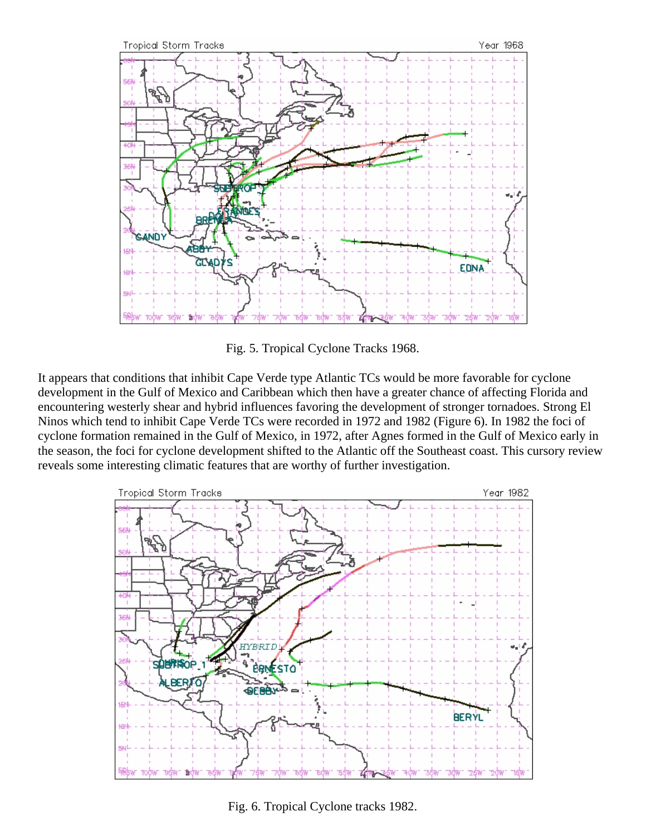

Fig. 5. Tropical Cyclone Tracks 1968.

It appears that conditions that inhibit Cape Verde type Atlantic TCs would be more favorable for cyclone development in the Gulf of Mexico and Caribbean which then have a greater chance of affecting Florida and encountering westerly shear and hybrid influences favoring the development of stronger tornadoes. Strong El Ninos which tend to inhibit Cape Verde TCs were recorded in 1972 and 1982 (Figure 6). In 1982 the foci of cyclone formation remained in the Gulf of Mexico, in 1972, after Agnes formed in the Gulf of Mexico early in the season, the foci for cyclone development shifted to the Atlantic off the Southeast coast. This cursory review reveals some interesting climatic features that are worthy of further investigation.



Fig. 6. Tropical Cyclone tracks 1982.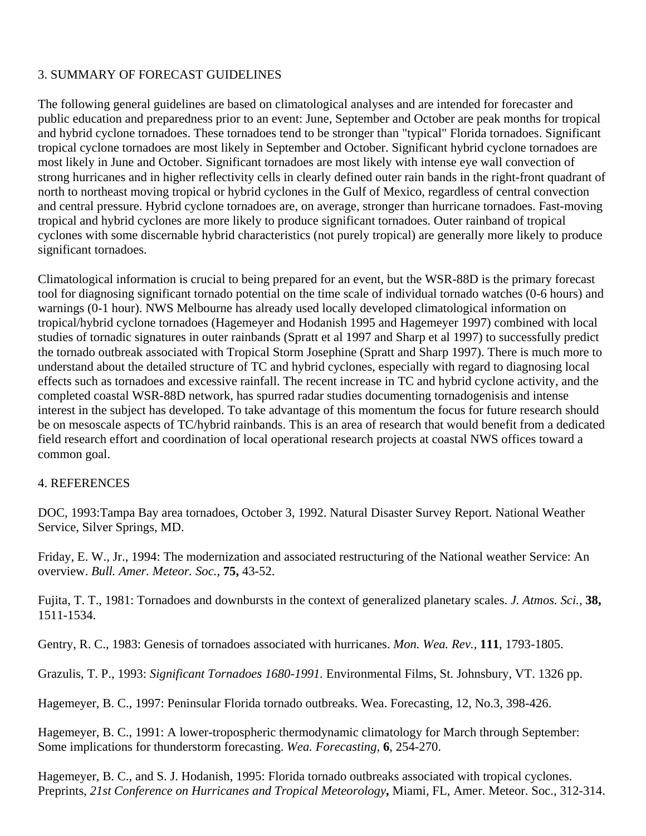# 3. SUMMARY OF FORECAST GUIDELINES

The following general guidelines are based on climatological analyses and are intended for forecaster and public education and preparedness prior to an event: June, September and October are peak months for tropical and hybrid cyclone tornadoes. These tornadoes tend to be stronger than "typical" Florida tornadoes. Significant tropical cyclone tornadoes are most likely in September and October. Significant hybrid cyclone tornadoes are most likely in June and October. Significant tornadoes are most likely with intense eye wall convection of strong hurricanes and in higher reflectivity cells in clearly defined outer rain bands in the right-front quadrant of north to northeast moving tropical or hybrid cyclones in the Gulf of Mexico, regardless of central convection and central pressure. Hybrid cyclone tornadoes are, on average, stronger than hurricane tornadoes. Fast-moving tropical and hybrid cyclones are more likely to produce significant tornadoes. Outer rainband of tropical cyclones with some discernable hybrid characteristics (not purely tropical) are generally more likely to produce significant tornadoes.

Climatological information is crucial to being prepared for an event, but the WSR-88D is the primary forecast tool for diagnosing significant tornado potential on the time scale of individual tornado watches (0-6 hours) and warnings (0-1 hour). NWS Melbourne has already used locally developed climatological information on tropical/hybrid cyclone tornadoes (Hagemeyer and Hodanish 1995 and Hagemeyer 1997) combined with local studies of tornadic signatures in outer rainbands (Spratt et al 1997 and Sharp et al 1997) to successfully predict the tornado outbreak associated with Tropical Storm Josephine (Spratt and Sharp 1997). There is much more to understand about the detailed structure of TC and hybrid cyclones, especially with regard to diagnosing local effects such as tornadoes and excessive rainfall. The recent increase in TC and hybrid cyclone activity, and the completed coastal WSR-88D network, has spurred radar studies documenting tornadogenisis and intense interest in the subject has developed. To take advantage of this momentum the focus for future research should be on mesoscale aspects of TC/hybrid rainbands. This is an area of research that would benefit from a dedicated field research effort and coordination of local operational research projects at coastal NWS offices toward a common goal.

#### 4. REFERENCES

DOC, 1993:Tampa Bay area tornadoes, October 3, 1992. Natural Disaster Survey Report. National Weather Service, Silver Springs, MD.

Friday, E. W., Jr., 1994: The modernization and associated restructuring of the National weather Service: An overview. *Bull. Amer. Meteor. Soc.,* **75,** 43-52.

Fujita, T. T., 1981: Tornadoes and downbursts in the context of generalized planetary scales. *J. Atmos. Sci.,* **38,** 1511-1534.

Gentry, R. C., 1983: Genesis of tornadoes associated with hurricanes. *Mon. Wea. Rev.,* **111**, 1793-1805.

Grazulis, T. P., 1993: *Significant Tornadoes 1680-1991.* Environmental Films, St. Johnsbury, VT. 1326 pp.

Hagemeyer, B. C., 1997: Peninsular Florida tornado outbreaks. Wea. Forecasting, 12, No.3, 398-426.

Hagemeyer, B. C., 1991: A lower-tropospheric thermodynamic climatology for March through September: Some implications for thunderstorm forecasting. *Wea. Forecasting,* **6**, 254-270.

Hagemeyer, B. C., and S. J. Hodanish, 1995: Florida tornado outbreaks associated with tropical cyclones. Preprints, *21st Conference on Hurricanes and Tropical Meteorology***,** Miami, FL, Amer. Meteor. Soc., 312-314.